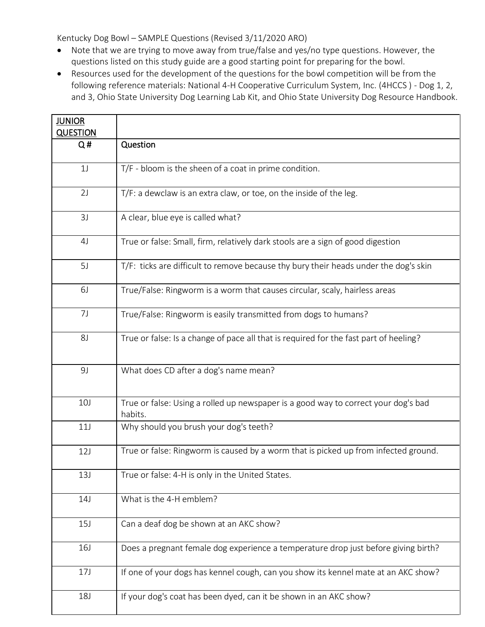Kentucky Dog Bowl – SAMPLE Questions (Revised 3/11/2020 ARO)

- Note that we are trying to move away from true/false and yes/no type questions. However, the questions listed on this study guide are a good starting point for preparing for the bowl.
- Resources used for the development of the questions for the bowl competition will be from the following reference materials: National 4-H Cooperative Curriculum System, Inc. (4HCCS ) - Dog 1, 2, and 3, Ohio State University Dog Learning Lab Kit, and Ohio State University Dog Resource Handbook.

| <b>JUNIOR</b><br><b>QUESTION</b> |                                                                                               |
|----------------------------------|-----------------------------------------------------------------------------------------------|
| Q#                               | Question                                                                                      |
| 1 <sub>J</sub>                   | T/F - bloom is the sheen of a coat in prime condition.                                        |
| 2J                               | T/F: a dewclaw is an extra claw, or toe, on the inside of the leg.                            |
| 3J                               | A clear, blue eye is called what?                                                             |
| 4 <sub>J</sub>                   | True or false: Small, firm, relatively dark stools are a sign of good digestion               |
| 5J                               | T/F: ticks are difficult to remove because thy bury their heads under the dog's skin          |
| 6J                               | True/False: Ringworm is a worm that causes circular, scaly, hairless areas                    |
| 7J                               | True/False: Ringworm is easily transmitted from dogs to humans?                               |
| 8J                               | True or false: Is a change of pace all that is required for the fast part of heeling?         |
| 9J                               | What does CD after a dog's name mean?                                                         |
| 10 <sub>J</sub>                  | True or false: Using a rolled up newspaper is a good way to correct your dog's bad<br>habits. |
| 11J                              | Why should you brush your dog's teeth?                                                        |
| 12J                              | True or false: Ringworm is caused by a worm that is picked up from infected ground.           |
| 13J                              | True or false: 4-H is only in the United States.                                              |
| 14J                              | What is the 4-H emblem?                                                                       |
| 15J                              | Can a deaf dog be shown at an AKC show?                                                       |
| <b>16J</b>                       | Does a pregnant female dog experience a temperature drop just before giving birth?            |
| 17J                              | If one of your dogs has kennel cough, can you show its kennel mate at an AKC show?            |
| <b>18J</b>                       | If your dog's coat has been dyed, can it be shown in an AKC show?                             |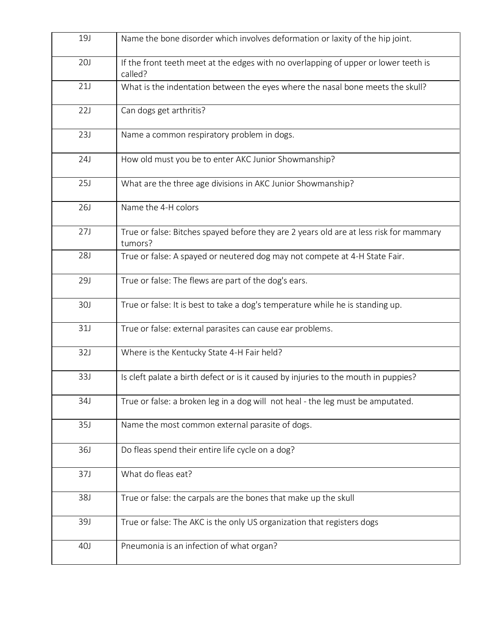| <b>19J</b> | Name the bone disorder which involves deformation or laxity of the hip joint.                     |
|------------|---------------------------------------------------------------------------------------------------|
| <b>20J</b> | If the front teeth meet at the edges with no overlapping of upper or lower teeth is<br>called?    |
| 21J        | What is the indentation between the eyes where the nasal bone meets the skull?                    |
| 22J        | Can dogs get arthritis?                                                                           |
| 23J        | Name a common respiratory problem in dogs.                                                        |
| 24J        | How old must you be to enter AKC Junior Showmanship?                                              |
| <b>25J</b> | What are the three age divisions in AKC Junior Showmanship?                                       |
| 26J        | Name the 4-H colors                                                                               |
| 27J        | True or false: Bitches spayed before they are 2 years old are at less risk for mammary<br>tumors? |
| 28J        | True or false: A spayed or neutered dog may not compete at 4-H State Fair.                        |
| <b>29J</b> | True or false: The flews are part of the dog's ears.                                              |
| <b>30J</b> | True or false: It is best to take a dog's temperature while he is standing up.                    |
| 31J        | True or false: external parasites can cause ear problems.                                         |
| 32J        | Where is the Kentucky State 4-H Fair held?                                                        |
| 33J        | Is cleft palate a birth defect or is it caused by injuries to the mouth in puppies?               |
| 34J        | True or false: a broken leg in a dog will not heal - the leg must be amputated.                   |
| 35J        | Name the most common external parasite of dogs.                                                   |
| 36J        | Do fleas spend their entire life cycle on a dog?                                                  |
| 37J        | What do fleas eat?                                                                                |
| 38J        | True or false: the carpals are the bones that make up the skull                                   |
| 39J        | True or false: The AKC is the only US organization that registers dogs                            |
| 40J        | Pneumonia is an infection of what organ?                                                          |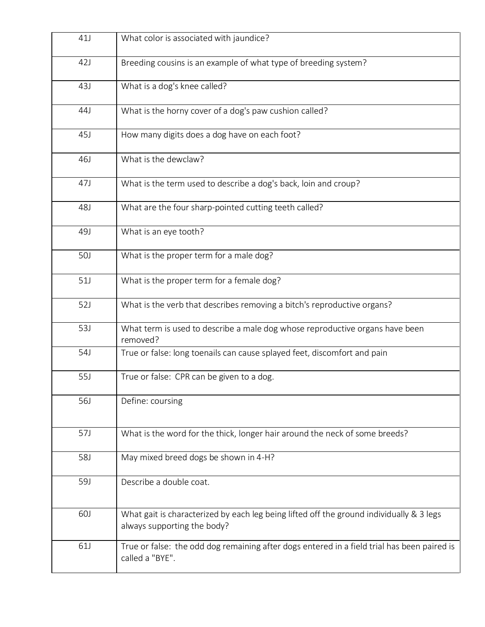| 41J        | What color is associated with jaundice?                                                                                 |
|------------|-------------------------------------------------------------------------------------------------------------------------|
| 42J        | Breeding cousins is an example of what type of breeding system?                                                         |
| 43J        | What is a dog's knee called?                                                                                            |
| 44J        | What is the horny cover of a dog's paw cushion called?                                                                  |
| 45J        | How many digits does a dog have on each foot?                                                                           |
| 46J        | What is the dewclaw?                                                                                                    |
| 47J        | What is the term used to describe a dog's back, loin and croup?                                                         |
| 48J        | What are the four sharp-pointed cutting teeth called?                                                                   |
| 49J        | What is an eye tooth?                                                                                                   |
| <b>50J</b> | What is the proper term for a male dog?                                                                                 |
| 51J        | What is the proper term for a female dog?                                                                               |
| 52J        | What is the verb that describes removing a bitch's reproductive organs?                                                 |
| 53J        | What term is used to describe a male dog whose reproductive organs have been<br>removed?                                |
| 54J        | True or false: long toenails can cause splayed feet, discomfort and pain                                                |
| 55J        | True or false: CPR can be given to a dog.                                                                               |
| 56J        | Define: coursing                                                                                                        |
| 57J        | What is the word for the thick, longer hair around the neck of some breeds?                                             |
| 58J        | May mixed breed dogs be shown in 4-H?                                                                                   |
| <b>59J</b> | Describe a double coat.                                                                                                 |
| <b>60J</b> | What gait is characterized by each leg being lifted off the ground individually & 3 legs<br>always supporting the body? |
| 61J        | True or false: the odd dog remaining after dogs entered in a field trial has been paired is<br>called a "BYE".          |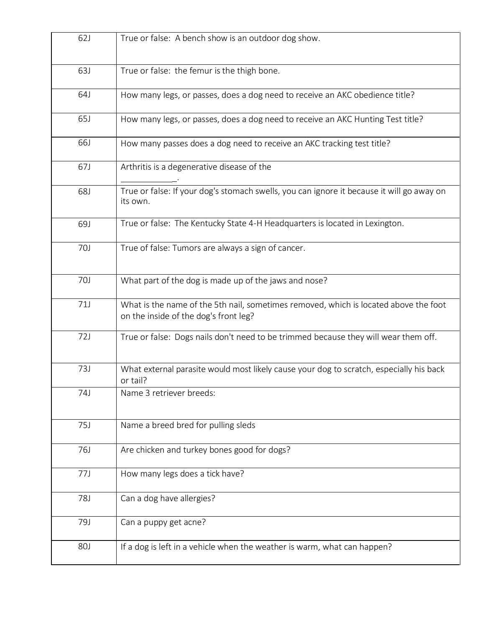| 62J        | True or false: A bench show is an outdoor dog show.                                                                           |
|------------|-------------------------------------------------------------------------------------------------------------------------------|
| <b>63J</b> | True or false: the femur is the thigh bone.                                                                                   |
| 64J        | How many legs, or passes, does a dog need to receive an AKC obedience title?                                                  |
| 65J        | How many legs, or passes, does a dog need to receive an AKC Hunting Test title?                                               |
| 66J        | How many passes does a dog need to receive an AKC tracking test title?                                                        |
| 67J        | Arthritis is a degenerative disease of the                                                                                    |
| 68J        | True or false: If your dog's stomach swells, you can ignore it because it will go away on<br>its own.                         |
| 69J        | True or false: The Kentucky State 4-H Headquarters is located in Lexington.                                                   |
| <b>70J</b> | True of false: Tumors are always a sign of cancer.                                                                            |
| 70J        | What part of the dog is made up of the jaws and nose?                                                                         |
| 71J        | What is the name of the 5th nail, sometimes removed, which is located above the foot<br>on the inside of the dog's front leg? |
| 72J        | True or false: Dogs nails don't need to be trimmed because they will wear them off.                                           |
| 73J        | What external parasite would most likely cause your dog to scratch, especially his back<br>or tail?                           |
| 74J        | Name 3 retriever breeds:                                                                                                      |
| 75J        | Name a breed bred for pulling sleds                                                                                           |
| 76J        | Are chicken and turkey bones good for dogs?                                                                                   |
| 77J        | How many legs does a tick have?                                                                                               |
| 78J        | Can a dog have allergies?                                                                                                     |
| 79J        | Can a puppy get acne?                                                                                                         |
| <b>80J</b> | If a dog is left in a vehicle when the weather is warm, what can happen?                                                      |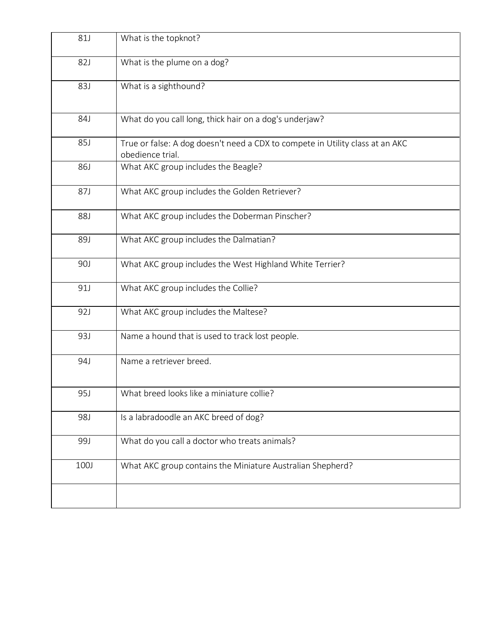| <b>81J</b> | What is the topknot?                                                                              |
|------------|---------------------------------------------------------------------------------------------------|
| 82J        | What is the plume on a dog?                                                                       |
| <b>83J</b> | What is a sighthound?                                                                             |
| 84J        | What do you call long, thick hair on a dog's underjaw?                                            |
| 85J        | True or false: A dog doesn't need a CDX to compete in Utility class at an AKC<br>obedience trial. |
| <b>86J</b> | What AKC group includes the Beagle?                                                               |
| 87J        | What AKC group includes the Golden Retriever?                                                     |
| <b>88J</b> | What AKC group includes the Doberman Pinscher?                                                    |
| 89J        | What AKC group includes the Dalmatian?                                                            |
| 90J        | What AKC group includes the West Highland White Terrier?                                          |
| 91J        | What AKC group includes the Collie?                                                               |
| 92J        | What AKC group includes the Maltese?                                                              |
| 93J        | Name a hound that is used to track lost people.                                                   |
| 94J        | Name a retriever breed.                                                                           |
| 95J        | What breed looks like a miniature collie?                                                         |
| 98J        | Is a labradoodle an AKC breed of dog?                                                             |
| 99J        | What do you call a doctor who treats animals?                                                     |
| 100J       | What AKC group contains the Miniature Australian Shepherd?                                        |
|            |                                                                                                   |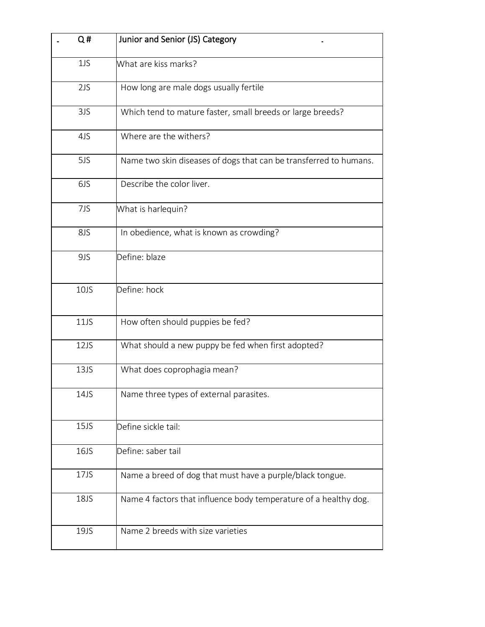| Q#   | Junior and Senior (JS) Category                                   |
|------|-------------------------------------------------------------------|
| 1JS  | What are kiss marks?                                              |
| 2JS  | How long are male dogs usually fertile                            |
| 3JS  | Which tend to mature faster, small breeds or large breeds?        |
| 4JS  | Where are the withers?                                            |
| 5JS  | Name two skin diseases of dogs that can be transferred to humans. |
| 6JS  | Describe the color liver.                                         |
| 7JS  | What is harlequin?                                                |
| 8JS  | In obedience, what is known as crowding?                          |
| 9JS  | Define: blaze                                                     |
| 10JS | Define: hock                                                      |
| 11JS | How often should puppies be fed?                                  |
| 12JS | What should a new puppy be fed when first adopted?                |
| 13JS | What does coprophagia mean?                                       |
| 14JS | Name three types of external parasites.                           |
| 15JS | Define sickle tail:                                               |
| 16JS | Define: saber tail                                                |
| 17JS | Name a breed of dog that must have a purple/black tongue.         |
| 18JS | Name 4 factors that influence body temperature of a healthy dog.  |
| 19JS | Name 2 breeds with size varieties                                 |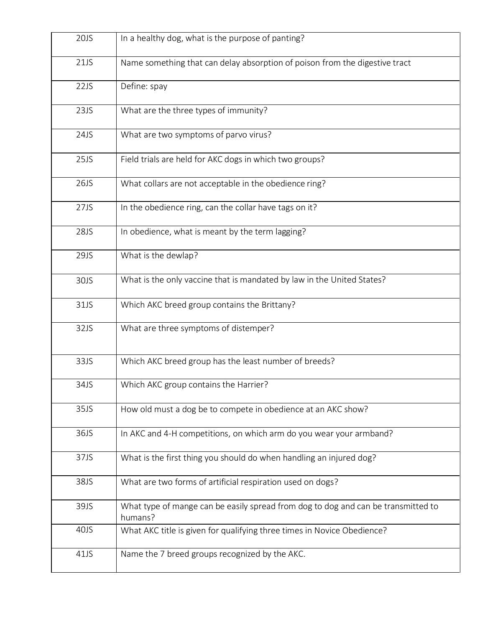| 20JS | In a healthy dog, what is the purpose of panting?                                            |
|------|----------------------------------------------------------------------------------------------|
| 21JS | Name something that can delay absorption of poison from the digestive tract                  |
| 22JS | Define: spay                                                                                 |
| 23JS | What are the three types of immunity?                                                        |
| 24JS | What are two symptoms of parvo virus?                                                        |
| 25JS | Field trials are held for AKC dogs in which two groups?                                      |
| 26JS | What collars are not acceptable in the obedience ring?                                       |
| 27JS | In the obedience ring, can the collar have tags on it?                                       |
| 28JS | In obedience, what is meant by the term lagging?                                             |
| 29JS | What is the dewlap?                                                                          |
| 30JS | What is the only vaccine that is mandated by law in the United States?                       |
| 31JS | Which AKC breed group contains the Brittany?                                                 |
| 32JS | What are three symptoms of distemper?                                                        |
| 33JS | Which AKC breed group has the least number of breeds?                                        |
| 34JS | Which AKC group contains the Harrier?                                                        |
| 35JS | How old must a dog be to compete in obedience at an AKC show?                                |
| 36JS | In AKC and 4-H competitions, on which arm do you wear your armband?                          |
| 37JS | What is the first thing you should do when handling an injured dog?                          |
| 38JS | What are two forms of artificial respiration used on dogs?                                   |
| 39JS | What type of mange can be easily spread from dog to dog and can be transmitted to<br>humans? |
| 40JS | What AKC title is given for qualifying three times in Novice Obedience?                      |
| 41JS | Name the 7 breed groups recognized by the AKC.                                               |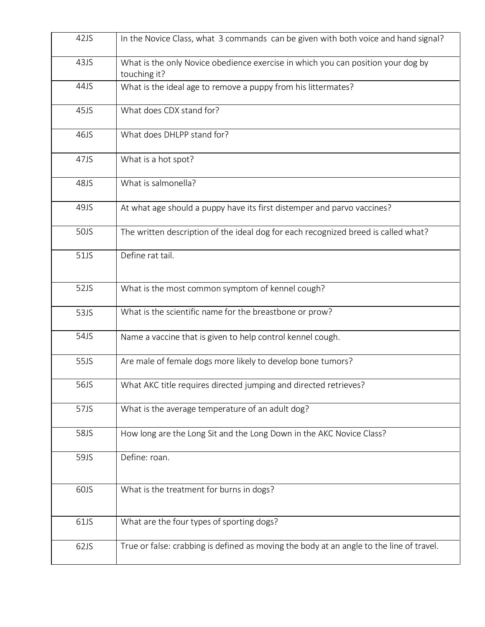| 42JS | In the Novice Class, what 3 commands can be given with both voice and hand signal?               |
|------|--------------------------------------------------------------------------------------------------|
| 43JS | What is the only Novice obedience exercise in which you can position your dog by<br>touching it? |
| 44JS | What is the ideal age to remove a puppy from his littermates?                                    |
| 45JS | What does CDX stand for?                                                                         |
| 46JS | What does DHLPP stand for?                                                                       |
| 47JS | What is a hot spot?                                                                              |
| 48JS | What is salmonella?                                                                              |
| 49JS | At what age should a puppy have its first distemper and parvo vaccines?                          |
| 50JS | The written description of the ideal dog for each recognized breed is called what?               |
| 51JS | Define rat tail.                                                                                 |
| 52JS | What is the most common symptom of kennel cough?                                                 |
| 53JS | What is the scientific name for the breastbone or prow?                                          |
| 54JS | Name a vaccine that is given to help control kennel cough.                                       |
| 55JS | Are male of female dogs more likely to develop bone tumors?                                      |
| 56JS | What AKC title requires directed jumping and directed retrieves?                                 |
| 57JS | What is the average temperature of an adult dog?                                                 |
| 58JS | How long are the Long Sit and the Long Down in the AKC Novice Class?                             |
| 59JS | Define: roan.                                                                                    |
| 60JS | What is the treatment for burns in dogs?                                                         |
| 61JS | What are the four types of sporting dogs?                                                        |
| 62JS | True or false: crabbing is defined as moving the body at an angle to the line of travel.         |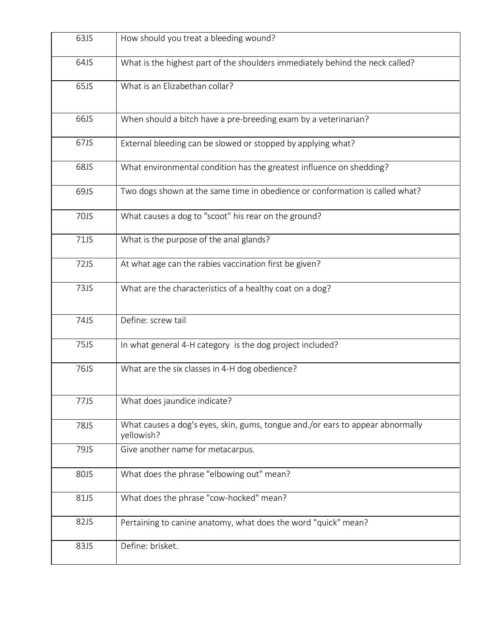| 63JS        | How should you treat a bleeding wound?                                                       |
|-------------|----------------------------------------------------------------------------------------------|
| 64JS        | What is the highest part of the shoulders immediately behind the neck called?                |
| 65JS        | What is an Elizabethan collar?                                                               |
| 66JS        | When should a bitch have a pre-breeding exam by a veterinarian?                              |
| 67JS        | External bleeding can be slowed or stopped by applying what?                                 |
| 68JS        | What environmental condition has the greatest influence on shedding?                         |
| 69JS        | Two dogs shown at the same time in obedience or conformation is called what?                 |
| 70JS        | What causes a dog to "scoot" his rear on the ground?                                         |
| 71JS        | What is the purpose of the anal glands?                                                      |
| 72JS        | At what age can the rabies vaccination first be given?                                       |
| 73JS        | What are the characteristics of a healthy coat on a dog?                                     |
| 74JS        | Define: screw tail                                                                           |
| 75JS        | In what general 4-H category is the dog project included?                                    |
| 76JS        | What are the six classes in 4-H dog obedience?                                               |
| 77JS        | What does jaundice indicate?                                                                 |
| <b>78JS</b> | What causes a dog's eyes, skin, gums, tongue and./or ears to appear abnormally<br>yellowish? |
| 79JS        | Give another name for metacarpus.                                                            |
| 80JS        | What does the phrase "elbowing out" mean?                                                    |
| 81JS        | What does the phrase "cow-hocked" mean?                                                      |
| 82JS        | Pertaining to canine anatomy, what does the word "quick" mean?                               |
| 83JS        | Define: brisket.                                                                             |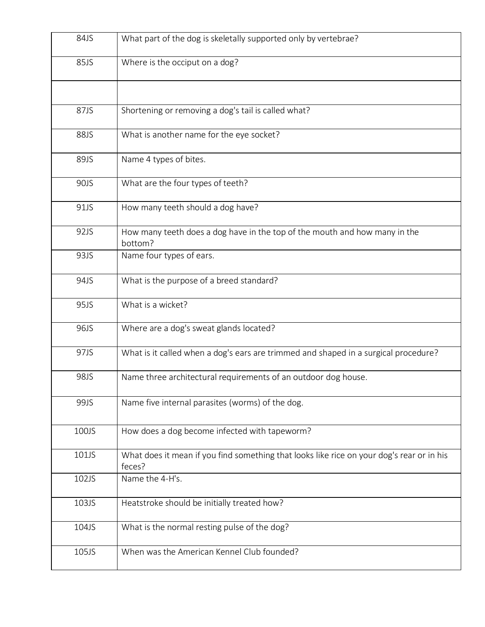| 84JS  | What part of the dog is skeletally supported only by vertebrae?                                     |
|-------|-----------------------------------------------------------------------------------------------------|
| 85JS  | Where is the occiput on a dog?                                                                      |
|       |                                                                                                     |
| 87JS  | Shortening or removing a dog's tail is called what?                                                 |
| 88JS  | What is another name for the eye socket?                                                            |
| 89JS  | Name 4 types of bites.                                                                              |
| 90JS  | What are the four types of teeth?                                                                   |
| 91JS  | How many teeth should a dog have?                                                                   |
| 92JS  | How many teeth does a dog have in the top of the mouth and how many in the<br>bottom?               |
| 93JS  | Name four types of ears.                                                                            |
| 94JS  | What is the purpose of a breed standard?                                                            |
| 95JS  | What is a wicket?                                                                                   |
| 96JS  | Where are a dog's sweat glands located?                                                             |
| 97JS  | What is it called when a dog's ears are trimmed and shaped in a surgical procedure?                 |
| 98JS  | Name three architectural requirements of an outdoor dog house.                                      |
| 99JS  | Name five internal parasites (worms) of the dog.                                                    |
| 100JS | How does a dog become infected with tapeworm?                                                       |
| 101JS | What does it mean if you find something that looks like rice on your dog's rear or in his<br>feces? |
| 102JS | Name the 4-H's.                                                                                     |
| 103JS | Heatstroke should be initially treated how?                                                         |
| 104JS | What is the normal resting pulse of the dog?                                                        |
| 105JS | When was the American Kennel Club founded?                                                          |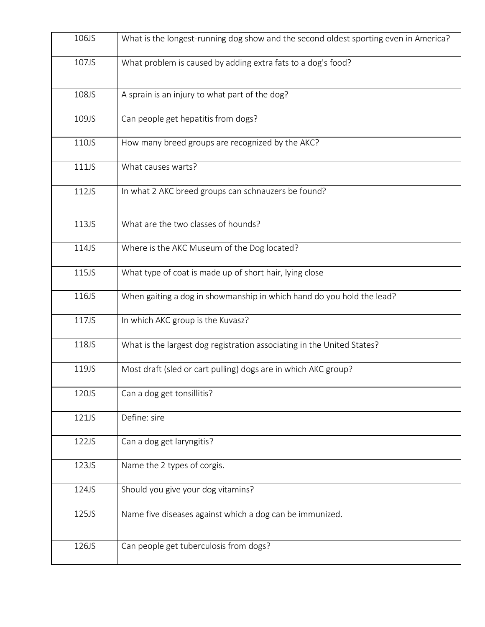| 106JS | What is the longest-running dog show and the second oldest sporting even in America? |
|-------|--------------------------------------------------------------------------------------|
| 107JS | What problem is caused by adding extra fats to a dog's food?                         |
| 108JS | A sprain is an injury to what part of the dog?                                       |
| 109JS | Can people get hepatitis from dogs?                                                  |
| 110JS | How many breed groups are recognized by the AKC?                                     |
| 111JS | What causes warts?                                                                   |
| 112JS | In what 2 AKC breed groups can schnauzers be found?                                  |
| 113JS | What are the two classes of hounds?                                                  |
| 114JS | Where is the AKC Museum of the Dog located?                                          |
| 115JS | What type of coat is made up of short hair, lying close                              |
| 116JS | When gaiting a dog in showmanship in which hand do you hold the lead?                |
| 117JS | In which AKC group is the Kuvasz?                                                    |
| 118JS | What is the largest dog registration associating in the United States?               |
| 119JS | Most draft (sled or cart pulling) dogs are in which AKC group?                       |
| 120JS | Can a dog get tonsillitis?                                                           |
| 121JS | Define: sire                                                                         |
| 122JS | Can a dog get laryngitis?                                                            |
| 123JS | Name the 2 types of corgis.                                                          |
| 124JS | Should you give your dog vitamins?                                                   |
| 125JS | Name five diseases against which a dog can be immunized.                             |
| 126JS | Can people get tuberculosis from dogs?                                               |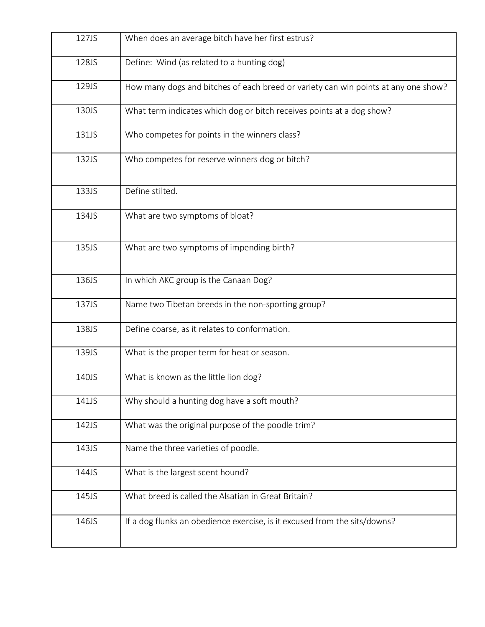| 127JS | When does an average bitch have her first estrus?                                  |
|-------|------------------------------------------------------------------------------------|
| 128JS | Define: Wind (as related to a hunting dog)                                         |
| 129JS | How many dogs and bitches of each breed or variety can win points at any one show? |
| 130JS | What term indicates which dog or bitch receives points at a dog show?              |
| 131JS | Who competes for points in the winners class?                                      |
| 132JS | Who competes for reserve winners dog or bitch?                                     |
| 133JS | Define stilted.                                                                    |
| 134JS | What are two symptoms of bloat?                                                    |
| 135JS | What are two symptoms of impending birth?                                          |
| 136JS | In which AKC group is the Canaan Dog?                                              |
| 137JS | Name two Tibetan breeds in the non-sporting group?                                 |
| 138JS | Define coarse, as it relates to conformation.                                      |
| 139JS | What is the proper term for heat or season.                                        |
| 140JS | What is known as the little lion dog?                                              |
| 141JS | Why should a hunting dog have a soft mouth?                                        |
| 142JS | What was the original purpose of the poodle trim?                                  |
| 143JS | Name the three varieties of poodle.                                                |
| 144JS | What is the largest scent hound?                                                   |
| 145JS | What breed is called the Alsatian in Great Britain?                                |
| 146JS | If a dog flunks an obedience exercise, is it excused from the sits/downs?          |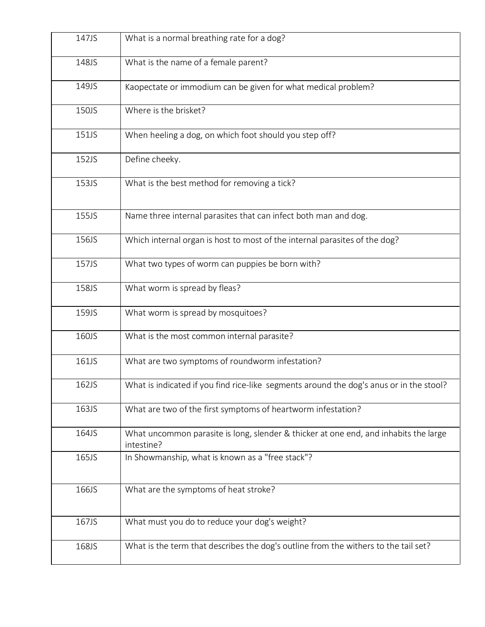| 147JS | What is a normal breathing rate for a dog?                                                         |
|-------|----------------------------------------------------------------------------------------------------|
| 148JS | What is the name of a female parent?                                                               |
| 149JS | Kaopectate or immodium can be given for what medical problem?                                      |
| 150JS | Where is the brisket?                                                                              |
| 151JS | When heeling a dog, on which foot should you step off?                                             |
| 152JS | Define cheeky.                                                                                     |
| 153JS | What is the best method for removing a tick?                                                       |
| 155JS | Name three internal parasites that can infect both man and dog.                                    |
| 156JS | Which internal organ is host to most of the internal parasites of the dog?                         |
| 157JS | What two types of worm can puppies be born with?                                                   |
| 158JS | What worm is spread by fleas?                                                                      |
| 159JS | What worm is spread by mosquitoes?                                                                 |
| 160JS | What is the most common internal parasite?                                                         |
| 161JS | What are two symptoms of roundworm infestation?                                                    |
| 162JS | What is indicated if you find rice-like segments around the dog's anus or in the stool?            |
| 163JS | What are two of the first symptoms of heartworm infestation?                                       |
| 164JS | What uncommon parasite is long, slender & thicker at one end, and inhabits the large<br>intestine? |
| 165JS | In Showmanship, what is known as a "free stack"?                                                   |
| 166JS | What are the symptoms of heat stroke?                                                              |
| 167JS | What must you do to reduce your dog's weight?                                                      |
| 168JS | What is the term that describes the dog's outline from the withers to the tail set?                |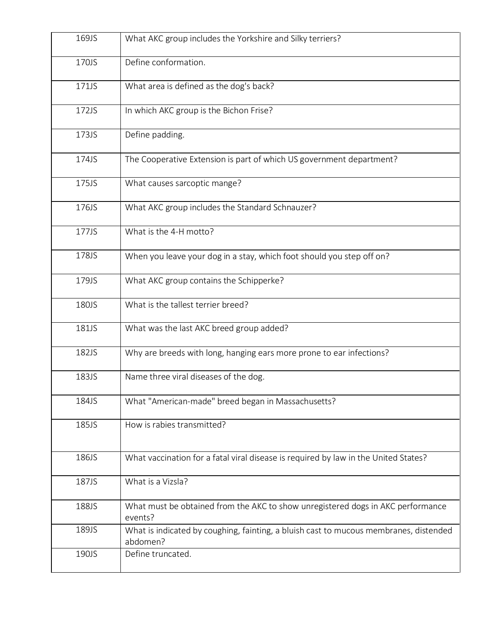| 169JS | What AKC group includes the Yorkshire and Silky terriers?                                         |
|-------|---------------------------------------------------------------------------------------------------|
| 170JS | Define conformation.                                                                              |
| 171JS | What area is defined as the dog's back?                                                           |
| 172JS | In which AKC group is the Bichon Frise?                                                           |
| 173JS | Define padding.                                                                                   |
| 174JS | The Cooperative Extension is part of which US government department?                              |
| 175JS | What causes sarcoptic mange?                                                                      |
| 176JS | What AKC group includes the Standard Schnauzer?                                                   |
| 177JS | What is the 4-H motto?                                                                            |
| 178JS | When you leave your dog in a stay, which foot should you step off on?                             |
| 179JS | What AKC group contains the Schipperke?                                                           |
| 180JS | What is the tallest terrier breed?                                                                |
| 181JS | What was the last AKC breed group added?                                                          |
| 182JS | Why are breeds with long, hanging ears more prone to ear infections?                              |
| 183JS | Name three viral diseases of the dog.                                                             |
| 184JS | What "American-made" breed began in Massachusetts?                                                |
| 185JS | How is rabies transmitted?                                                                        |
| 186JS | What vaccination for a fatal viral disease is required by law in the United States?               |
| 187JS | What is a Vizsla?                                                                                 |
| 188JS | What must be obtained from the AKC to show unregistered dogs in AKC performance<br>events?        |
| 189JS | What is indicated by coughing, fainting, a bluish cast to mucous membranes, distended<br>abdomen? |
| 190JS | Define truncated.                                                                                 |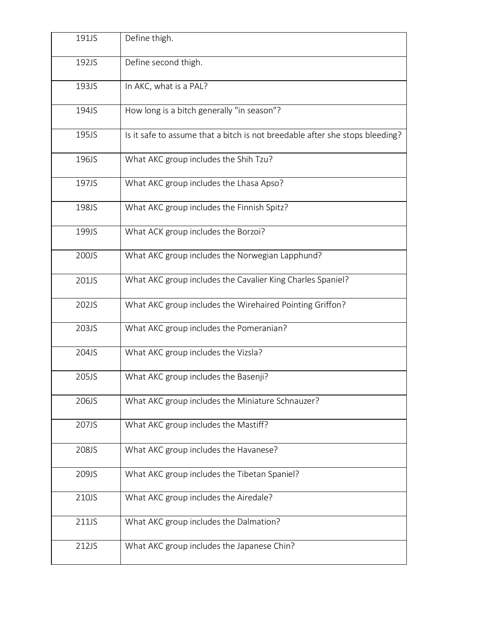| 191JS | Define thigh.                                                                |
|-------|------------------------------------------------------------------------------|
| 192JS | Define second thigh.                                                         |
| 193JS | In AKC, what is a PAL?                                                       |
| 194JS | How long is a bitch generally "in season"?                                   |
| 195JS | Is it safe to assume that a bitch is not breedable after she stops bleeding? |
| 196JS | What AKC group includes the Shih Tzu?                                        |
| 197JS | What AKC group includes the Lhasa Apso?                                      |
| 198JS | What AKC group includes the Finnish Spitz?                                   |
| 199JS | What ACK group includes the Borzoi?                                          |
| 200JS | What AKC group includes the Norwegian Lapphund?                              |
| 201JS | What AKC group includes the Cavalier King Charles Spaniel?                   |
| 202JS | What AKC group includes the Wirehaired Pointing Griffon?                     |
| 203JS | What AKC group includes the Pomeranian?                                      |
| 204JS | What AKC group includes the Vizsla?                                          |
| 205JS | What AKC group includes the Basenji?                                         |
| 206JS | What AKC group includes the Miniature Schnauzer?                             |
| 207JS | What AKC group includes the Mastiff?                                         |
| 208JS | What AKC group includes the Havanese?                                        |
| 209JS | What AKC group includes the Tibetan Spaniel?                                 |
| 210JS | What AKC group includes the Airedale?                                        |
| 211JS | What AKC group includes the Dalmation?                                       |
| 212JS | What AKC group includes the Japanese Chin?                                   |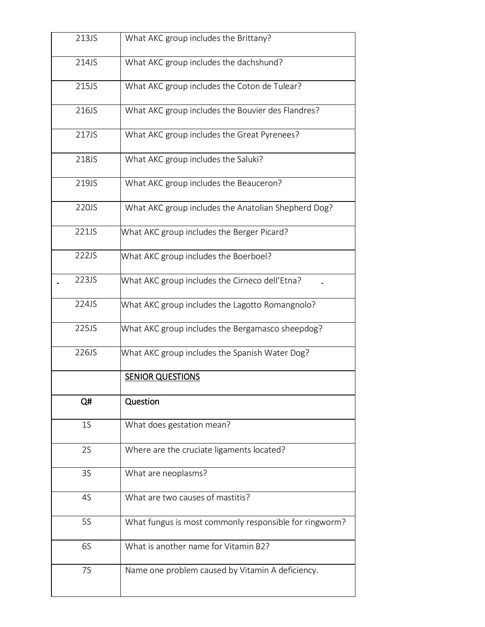| 213JS          | What AKC group includes the Brittany?                  |
|----------------|--------------------------------------------------------|
| 214JS          | What AKC group includes the dachshund?                 |
| 215JS          | What AKC group includes the Coton de Tulear?           |
| 216JS          | What AKC group includes the Bouvier des Flandres?      |
| 217JS          | What AKC group includes the Great Pyrenees?            |
| 218JS          | What AKC group includes the Saluki?                    |
| 219JS          | What AKC group includes the Beauceron?                 |
| 220JS          | What AKC group includes the Anatolian Shepherd Dog?    |
| 221JS          | What AKC group includes the Berger Picard?             |
| 222JS          | What AKC group includes the Boerboel?                  |
| 223JS          | What AKC group includes the Cirneco dell'Etna?         |
| 224JS          | What AKC group includes the Lagotto Romangnolo?        |
| 225JS          | What AKC group includes the Bergamasco sheepdog?       |
| 226JS          | What AKC group includes the Spanish Water Dog?         |
|                | <b>SENIOR QUESTIONS</b>                                |
| Q#             | Question                                               |
| 1 <sub>S</sub> | What does gestation mean?                              |
| 2S             | Where are the cruciate ligaments located?              |
| 3S             | What are neoplasms?                                    |
| 4S             | What are two causes of mastitis?                       |
| <b>5S</b>      | What fungus is most commonly responsible for ringworm? |
| 6S             | What is another name for Vitamin B2?                   |
| <b>7S</b>      | Name one problem caused by Vitamin A deficiency.       |
|                |                                                        |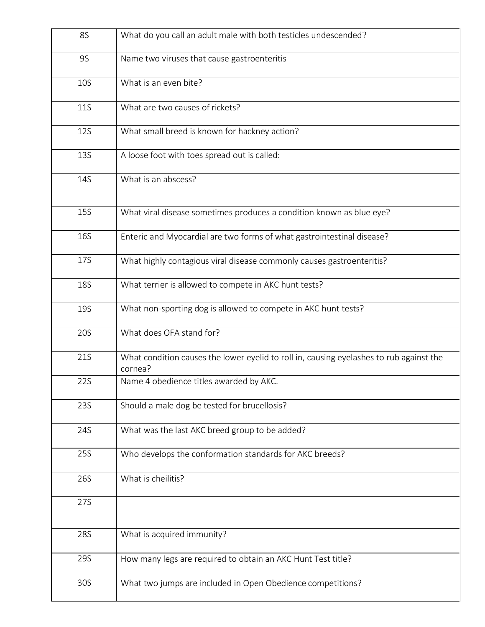| <b>8S</b>  | What do you call an adult male with both testicles undescended?                                    |
|------------|----------------------------------------------------------------------------------------------------|
| <b>9S</b>  | Name two viruses that cause gastroenteritis                                                        |
| <b>10S</b> | What is an even bite?                                                                              |
| <b>11S</b> | What are two causes of rickets?                                                                    |
| <b>12S</b> | What small breed is known for hackney action?                                                      |
| <b>13S</b> | A loose foot with toes spread out is called:                                                       |
| 14S        | What is an abscess?                                                                                |
| <b>15S</b> | What viral disease sometimes produces a condition known as blue eye?                               |
| <b>16S</b> | Enteric and Myocardial are two forms of what gastrointestinal disease?                             |
| 17S        | What highly contagious viral disease commonly causes gastroenteritis?                              |
| <b>18S</b> | What terrier is allowed to compete in AKC hunt tests?                                              |
| <b>19S</b> | What non-sporting dog is allowed to compete in AKC hunt tests?                                     |
| 20S        | What does OFA stand for?                                                                           |
| 21S        | What condition causes the lower eyelid to roll in, causing eyelashes to rub against the<br>cornea? |
| 22S        | Name 4 obedience titles awarded by AKC.                                                            |
| <b>23S</b> | Should a male dog be tested for brucellosis?                                                       |
| 24S        | What was the last AKC breed group to be added?                                                     |
| <b>25S</b> | Who develops the conformation standards for AKC breeds?                                            |
| 26S        | What is cheilitis?                                                                                 |
| 27S        |                                                                                                    |
| <b>28S</b> | What is acquired immunity?                                                                         |
| 29S        | How many legs are required to obtain an AKC Hunt Test title?                                       |
| 30S        | What two jumps are included in Open Obedience competitions?                                        |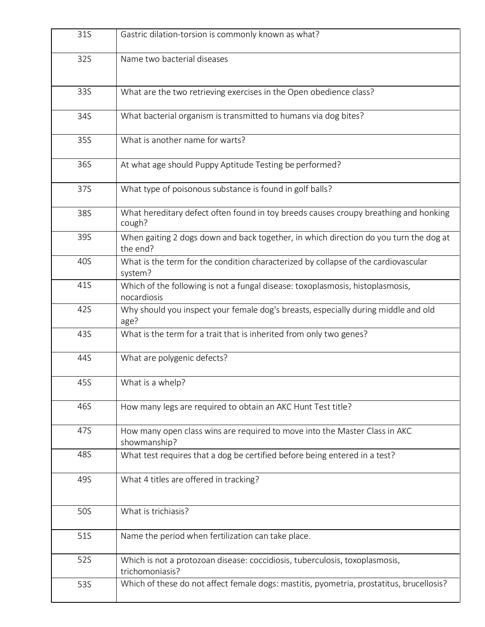| 31S | Gastric dilation-torsion is commonly known as what?                                               |
|-----|---------------------------------------------------------------------------------------------------|
| 32S | Name two bacterial diseases                                                                       |
| 33S | What are the two retrieving exercises in the Open obedience class?                                |
| 34S | What bacterial organism is transmitted to humans via dog bites?                                   |
| 35S | What is another name for warts?                                                                   |
| 36S | At what age should Puppy Aptitude Testing be performed?                                           |
| 37S | What type of poisonous substance is found in golf balls?                                          |
| 38S | What hereditary defect often found in toy breeds causes croupy breathing and honking<br>cough?    |
| 39S | When gaiting 2 dogs down and back together, in which direction do you turn the dog at<br>the end? |
| 40S | What is the term for the condition characterized by collapse of the cardiovascular<br>system?     |
| 41S | Which of the following is not a fungal disease: toxoplasmosis, histoplasmosis,<br>nocardiosis     |
| 42S | Why should you inspect your female dog's breasts, especially during middle and old<br>age?        |
| 43S | What is the term for a trait that is inherited from only two genes?                               |
| 44S | What are polygenic defects?                                                                       |
| 45S | What is a whelp?                                                                                  |
| 46S | How many legs are required to obtain an AKC Hunt Test title?                                      |
| 47S | How many open class wins are required to move into the Master Class in AKC<br>showmanship?        |
| 48S | What test requires that a dog be certified before being entered in a test?                        |
| 49S | What 4 titles are offered in tracking?                                                            |
| 50S | What is trichiasis?                                                                               |
| 51S | Name the period when fertilization can take place.                                                |
| 52S | Which is not a protozoan disease: coccidiosis, tuberculosis, toxoplasmosis,<br>trichomoniasis?    |
| 53S | Which of these do not affect female dogs: mastitis, pyometria, prostatitus, brucellosis?          |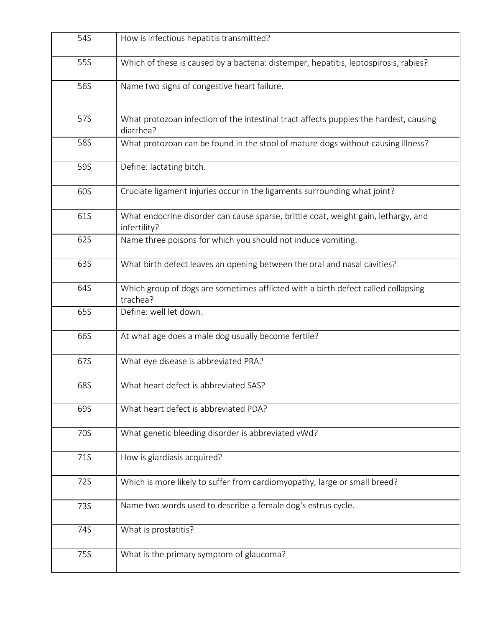| 54S | How is infectious hepatitis transmitted?                                                           |
|-----|----------------------------------------------------------------------------------------------------|
| 55S | Which of these is caused by a bacteria: distemper, hepatitis, leptospirosis, rabies?               |
| 56S | Name two signs of congestive heart failure.                                                        |
| 57S | What protozoan infection of the intestinal tract affects puppies the hardest, causing<br>diarrhea? |
| 58S | What protozoan can be found in the stool of mature dogs without causing illness?                   |
| 59S | Define: lactating bitch.                                                                           |
| 60S | Cruciate ligament injuries occur in the ligaments surrounding what joint?                          |
| 61S | What endocrine disorder can cause sparse, brittle coat, weight gain, lethargy, and<br>infertility? |
| 62S | Name three poisons for which you should not induce vomiting.                                       |
| 63S | What birth defect leaves an opening between the oral and nasal cavities?                           |
| 64S | Which group of dogs are sometimes afflicted with a birth defect called collapsing<br>trachea?      |
| 65S | Define: well let down.                                                                             |
| 66S | At what age does a male dog usually become fertile?                                                |
| 67S | What eye disease is abbreviated PRA?                                                               |
| 68S | What heart defect is abbreviated SAS?                                                              |
| 69S | What heart defect is abbreviated PDA?                                                              |
| 70S | What genetic bleeding disorder is abbreviated vWd?                                                 |
| 71S | How is giardiasis acquired?                                                                        |
| 72S | Which is more likely to suffer from cardiomyopathy, large or small breed?                          |
| 73S | Name two words used to describe a female dog's estrus cycle.                                       |
| 74S | What is prostatitis?                                                                               |
| 75S | What is the primary symptom of glaucoma?                                                           |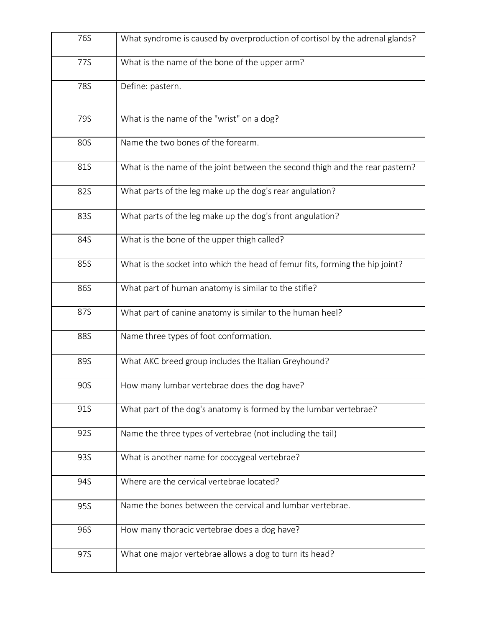| 76S        | What syndrome is caused by overproduction of cortisol by the adrenal glands? |
|------------|------------------------------------------------------------------------------|
| 77S        | What is the name of the bone of the upper arm?                               |
| 78S        | Define: pastern.                                                             |
| 79S        | What is the name of the "wrist" on a dog?                                    |
| 80S        | Name the two bones of the forearm.                                           |
| <b>81S</b> | What is the name of the joint between the second thigh and the rear pastern? |
| <b>82S</b> | What parts of the leg make up the dog's rear angulation?                     |
| 83S        | What parts of the leg make up the dog's front angulation?                    |
| 84S        | What is the bone of the upper thigh called?                                  |
| 85S        | What is the socket into which the head of femur fits, forming the hip joint? |
| 86S        | What part of human anatomy is similar to the stifle?                         |
| 87S        | What part of canine anatomy is similar to the human heel?                    |
| <b>88S</b> | Name three types of foot conformation.                                       |
| 89S        | What AKC breed group includes the Italian Greyhound?                         |
| 90S        | How many lumbar vertebrae does the dog have?                                 |
| 91S        | What part of the dog's anatomy is formed by the lumbar vertebrae?            |
| 92S        | Name the three types of vertebrae (not including the tail)                   |
| 93S        | What is another name for coccygeal vertebrae?                                |
| 94S        | Where are the cervical vertebrae located?                                    |
| 95S        | Name the bones between the cervical and lumbar vertebrae.                    |
| 96S        | How many thoracic vertebrae does a dog have?                                 |
| 97S        | What one major vertebrae allows a dog to turn its head?                      |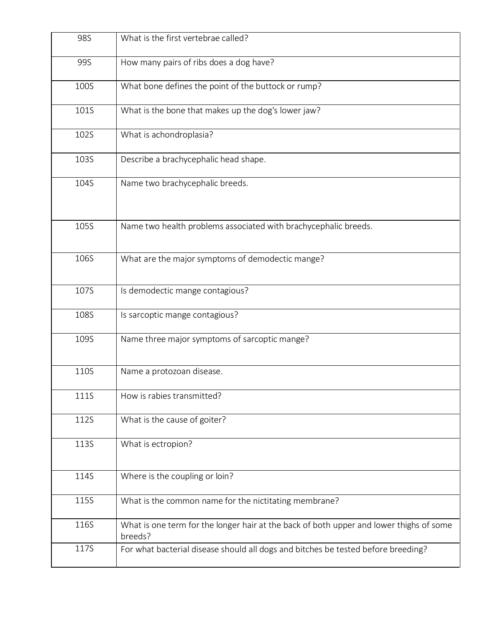| 98S         | What is the first vertebrae called?                                                                |
|-------------|----------------------------------------------------------------------------------------------------|
| 99S         | How many pairs of ribs does a dog have?                                                            |
| 100S        | What bone defines the point of the buttock or rump?                                                |
| 101S        | What is the bone that makes up the dog's lower jaw?                                                |
| 102S        | What is achondroplasia?                                                                            |
| 103S        | Describe a brachycephalic head shape.                                                              |
| 104S        | Name two brachycephalic breeds.                                                                    |
| 105S        | Name two health problems associated with brachycephalic breeds.                                    |
| 106S        | What are the major symptoms of demodectic mange?                                                   |
| 107S        | Is demodectic mange contagious?                                                                    |
| 108S        | Is sarcoptic mange contagious?                                                                     |
| 109S        | Name three major symptoms of sarcoptic mange?                                                      |
| 110S        | Name a protozoan disease.                                                                          |
| 111S        | How is rabies transmitted?                                                                         |
| 112S        | What is the cause of goiter?                                                                       |
| <b>113S</b> | What is ectropion?                                                                                 |
| 114S        | Where is the coupling or loin?                                                                     |
| 115S        | What is the common name for the nictitating membrane?                                              |
| <b>116S</b> | What is one term for the longer hair at the back of both upper and lower thighs of some<br>breeds? |
| 117S        | For what bacterial disease should all dogs and bitches be tested before breeding?                  |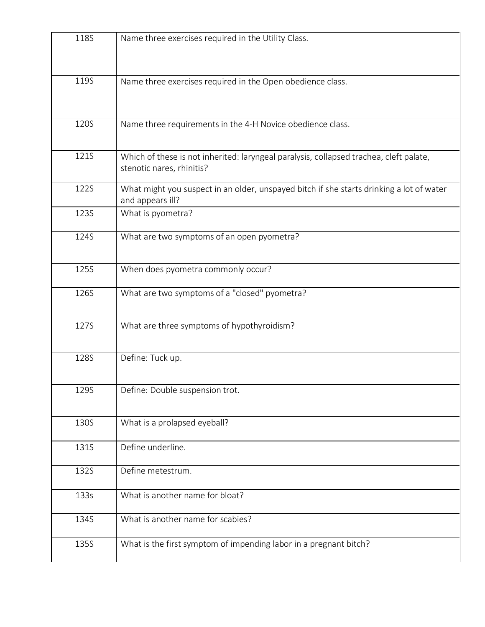| <b>118S</b> | Name three exercises required in the Utility Class.                                                                 |
|-------------|---------------------------------------------------------------------------------------------------------------------|
| 119S        | Name three exercises required in the Open obedience class.                                                          |
| 120S        | Name three requirements in the 4-H Novice obedience class.                                                          |
| 121S        | Which of these is not inherited: laryngeal paralysis, collapsed trachea, cleft palate,<br>stenotic nares, rhinitis? |
| 122S        | What might you suspect in an older, unspayed bitch if she starts drinking a lot of water<br>and appears ill?        |
| <b>123S</b> | What is pyometra?                                                                                                   |
| 124S        | What are two symptoms of an open pyometra?                                                                          |
| 125S        | When does pyometra commonly occur?                                                                                  |
| 126S        | What are two symptoms of a "closed" pyometra?                                                                       |
| 127S        | What are three symptoms of hypothyroidism?                                                                          |
| 128S        | Define: Tuck up.                                                                                                    |
| 129S        | Define: Double suspension trot.                                                                                     |
| 130S        | What is a prolapsed eyeball?                                                                                        |
| 131S        | Define underline.                                                                                                   |
| 132S        | Define metestrum.                                                                                                   |
| 133s        | What is another name for bloat?                                                                                     |
| 134S        | What is another name for scabies?                                                                                   |
| 135S        | What is the first symptom of impending labor in a pregnant bitch?                                                   |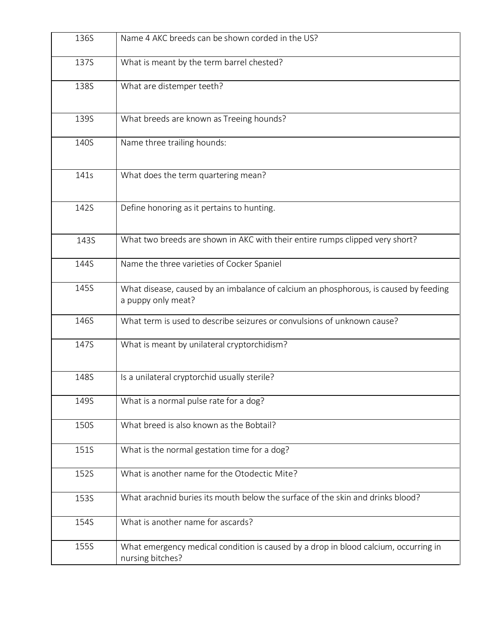| 136S | Name 4 AKC breeds can be shown corded in the US?                                                           |
|------|------------------------------------------------------------------------------------------------------------|
| 137S | What is meant by the term barrel chested?                                                                  |
| 138S | What are distemper teeth?                                                                                  |
| 139S | What breeds are known as Treeing hounds?                                                                   |
| 140S | Name three trailing hounds:                                                                                |
| 141s | What does the term quartering mean?                                                                        |
| 142S | Define honoring as it pertains to hunting.                                                                 |
| 143S | What two breeds are shown in AKC with their entire rumps clipped very short?                               |
| 144S | Name the three varieties of Cocker Spaniel                                                                 |
| 145S | What disease, caused by an imbalance of calcium an phosphorous, is caused by feeding<br>a puppy only meat? |
| 146S | What term is used to describe seizures or convulsions of unknown cause?                                    |
| 147S | What is meant by unilateral cryptorchidism?                                                                |
| 148S | Is a unilateral cryptorchid usually sterile?                                                               |
| 149S | What is a normal pulse rate for a dog?                                                                     |
| 150S | What breed is also known as the Bobtail?                                                                   |
| 151S | What is the normal gestation time for a dog?                                                               |
| 152S | What is another name for the Otodectic Mite?                                                               |
| 153S | What arachnid buries its mouth below the surface of the skin and drinks blood?                             |
| 154S | What is another name for ascards?                                                                          |
| 155S | What emergency medical condition is caused by a drop in blood calcium, occurring in<br>nursing bitches?    |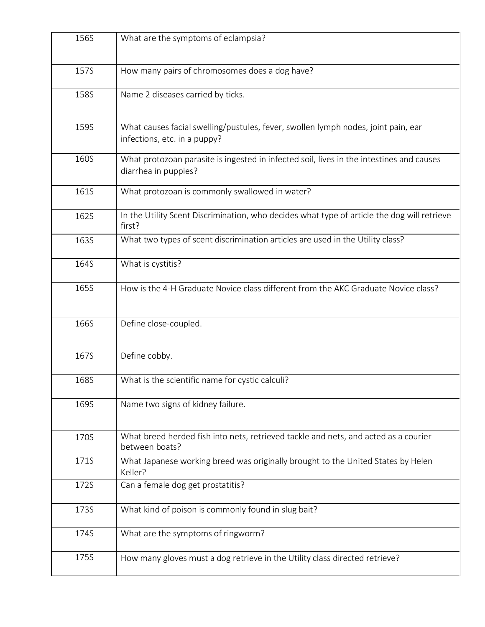| 156S | What are the symptoms of eclampsia?                                                                               |
|------|-------------------------------------------------------------------------------------------------------------------|
| 157S | How many pairs of chromosomes does a dog have?                                                                    |
| 158S | Name 2 diseases carried by ticks.                                                                                 |
| 159S | What causes facial swelling/pustules, fever, swollen lymph nodes, joint pain, ear<br>infections, etc. in a puppy? |
| 160S | What protozoan parasite is ingested in infected soil, lives in the intestines and causes<br>diarrhea in puppies?  |
| 161S | What protozoan is commonly swallowed in water?                                                                    |
| 162S | In the Utility Scent Discrimination, who decides what type of article the dog will retrieve<br>first?             |
| 163S | What two types of scent discrimination articles are used in the Utility class?                                    |
| 164S | What is cystitis?                                                                                                 |
| 165S | How is the 4-H Graduate Novice class different from the AKC Graduate Novice class?                                |
| 166S | Define close-coupled.                                                                                             |
| 167S | Define cobby.                                                                                                     |
| 168S | What is the scientific name for cystic calculi?                                                                   |
| 169S | Name two signs of kidney failure.                                                                                 |
| 170S | What breed herded fish into nets, retrieved tackle and nets, and acted as a courier<br>between boats?             |
| 171S | What Japanese working breed was originally brought to the United States by Helen<br>Keller?                       |
| 172S | Can a female dog get prostatitis?                                                                                 |
| 173S | What kind of poison is commonly found in slug bait?                                                               |
| 174S | What are the symptoms of ringworm?                                                                                |
| 175S | How many gloves must a dog retrieve in the Utility class directed retrieve?                                       |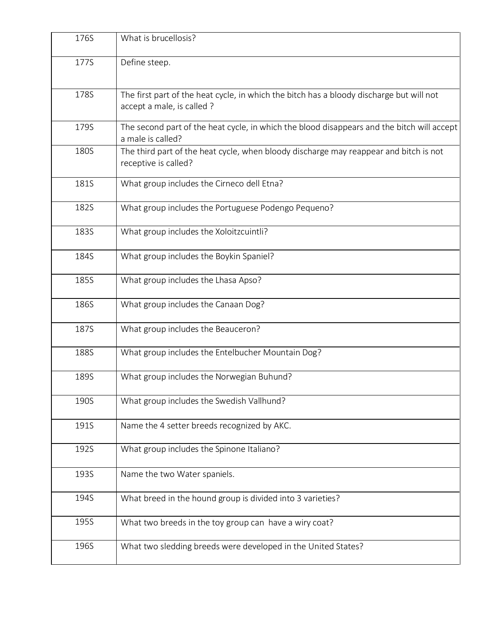| 176S | What is brucellosis?                                                                                                   |
|------|------------------------------------------------------------------------------------------------------------------------|
| 177S | Define steep.                                                                                                          |
| 178S | The first part of the heat cycle, in which the bitch has a bloody discharge but will not<br>accept a male, is called ? |
| 179S | The second part of the heat cycle, in which the blood disappears and the bitch will accept<br>a male is called?        |
| 180S | The third part of the heat cycle, when bloody discharge may reappear and bitch is not<br>receptive is called?          |
| 181S | What group includes the Cirneco dell Etna?                                                                             |
| 182S | What group includes the Portuguese Podengo Pequeno?                                                                    |
| 183S | What group includes the Xoloitzcuintli?                                                                                |
| 184S | What group includes the Boykin Spaniel?                                                                                |
| 185S | What group includes the Lhasa Apso?                                                                                    |
| 186S | What group includes the Canaan Dog?                                                                                    |
| 187S | What group includes the Beauceron?                                                                                     |
| 188S | What group includes the Entelbucher Mountain Dog?                                                                      |
| 189S | What group includes the Norwegian Buhund?                                                                              |
| 190S | What group includes the Swedish Vallhund?                                                                              |
| 191S | Name the 4 setter breeds recognized by AKC.                                                                            |
| 192S | What group includes the Spinone Italiano?                                                                              |
| 193S | Name the two Water spaniels.                                                                                           |
| 194S | What breed in the hound group is divided into 3 varieties?                                                             |
| 195S | What two breeds in the toy group can have a wiry coat?                                                                 |
| 196S | What two sledding breeds were developed in the United States?                                                          |